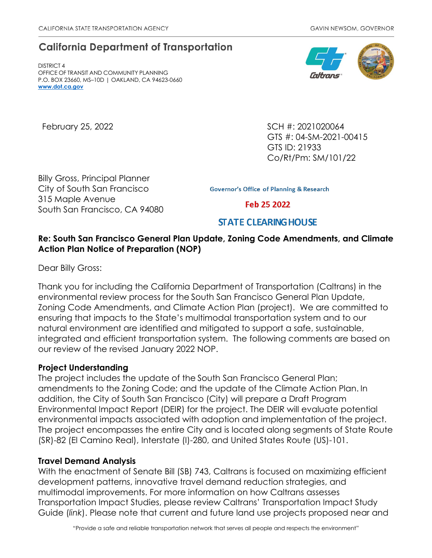# **California Department of Transportation**

DISTRICT 4 OFFICE OF TRANSIT AND COMMUNITY PLANNING P.O. BOX 23660, MS–10D | OAKLAND, CA 94623-0660 **[www.dot.ca.gov](http://www.dot.ca.gov/)**

February 25, 2022 **SCH #: 2021020064** GTS #: 04-SM-2021-00415 GTS ID: 21933 Co/Rt/Pm: SM/101/22

Billy Gross, Principal Planner City of South San Francisco 315 Maple Avenue South San Francisco, CA 94080

**Governor's Office of Planning & Research** 

Feb 25 2022

# **STATE CLEARING HOUSE**

## **Re: South San Francisco General Plan Update, Zoning Code Amendments, and Climate Action Plan Notice of Preparation (NOP)**

Dear Billy Gross:

Thank you for including the California Department of Transportation (Caltrans) in the environmental review process for the South San Francisco General Plan Update, Zoning Code Amendments, and Climate Action Plan (project). We are committed to ensuring that impacts to the State's multimodal transportation system and to our natural environment are identified and mitigated to support a safe, sustainable, integrated and efficient transportation system. The following comments are based on our review of the revised January 2022 NOP.

#### **Project Understanding**

The project includes the update of the South San Francisco General Plan; amendments to the Zoning Code; and the update of the Climate Action Plan. In addition, the City of South San Francisco (City) will prepare a Draft Program Environmental Impact Report (DEIR) for the project. The DEIR will evaluate potential environmental impacts associated with adoption and implementation of the project. The project encompasses the entire City and is located along segments of State Route (SR)-82 (El Camino Real), Interstate (I)-280, and United States Route (US)-101.

#### **Travel Demand Analysis**

With the enactment of Senate Bill (SB) 743, Caltrans is focused on maximizing efficient development patterns, innovative travel demand reduction strategies, and multimodal improvements. For more information on how Caltrans assesses Transportation Impact Studies, please review Caltrans' [Transportation Impact Study](https://dot.ca.gov/-/media/dot-media/programs/transportation-planning/documents/sb-743/2020-05-20-approved-vmt-focused-tisg-a11y.pdf)  [Guide \(](https://dot.ca.gov/-/media/dot-media/programs/transportation-planning/documents/sb-743/2020-05-20-approved-vmt-focused-tisg-a11y.pdf)*[link](https://dot.ca.gov/-/media/dot-media/programs/transportation-planning/documents/sb-743/2020-05-20-approved-vmt-focused-tisg-a11y.pdf)*). [Please note that current and future land use projects proposed near and](https://dot.ca.gov/-/media/dot-media/programs/transportation-planning/documents/sb-743/2020-05-20-approved-vmt-focused-tisg-a11y.pdf)